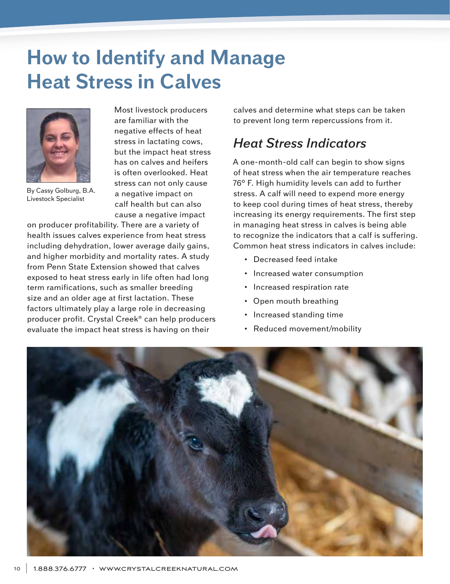## **How to Identify and Manage Heat Stress in Calves**



By Cassy Golburg, B.A. Livestock Specialist

Most livestock producers are familiar with the negative effects of heat stress in lactating cows, but the impact heat stress has on calves and heifers is often overlooked. Heat stress can not only cause a negative impact on calf health but can also cause a negative impact

on producer profitability. There are a variety of health issues calves experience from heat stress including dehydration, lower average daily gains, and higher morbidity and mortality rates. A study from Penn State Extension showed that calves exposed to heat stress early in life often had long term ramifications, such as smaller breeding size and an older age at first lactation. These factors ultimately play a large role in decreasing producer profit. Crystal Creek® can help producers evaluate the impact heat stress is having on their

calves and determine what steps can be taken to prevent long term repercussions from it.

## *Heat Stress Indicators*

A one-month-old calf can begin to show signs of heat stress when the air temperature reaches 76° F. High humidity levels can add to further stress. A calf will need to expend more energy to keep cool during times of heat stress, thereby increasing its energy requirements. The first step in managing heat stress in calves is being able to recognize the indicators that a calf is suffering. Common heat stress indicators in calves include:

- Decreased feed intake
- Increased water consumption
- Increased respiration rate
- Open mouth breathing
- Increased standing time
- Reduced movement/mobility

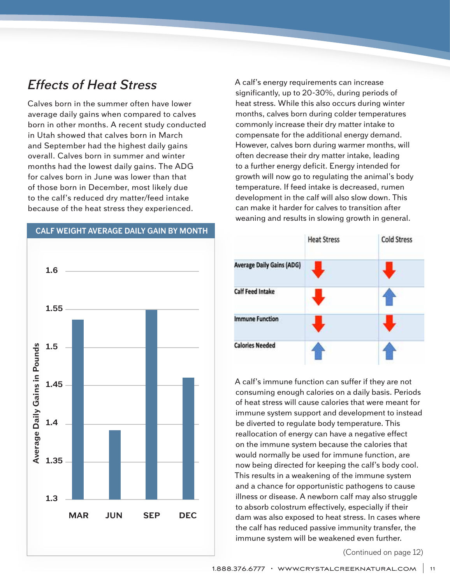## *Effects of Heat Stress*

Calves born in the summer often have lower average daily gains when compared to calves born in other months. A recent study conducted in Utah showed that calves born in March and September had the highest daily gains overall. Calves born in summer and winter months had the lowest daily gains. The ADG for calves born in June was lower than that of those born in December, most likely due to the calf's reduced dry matter/feed intake because of the heat stress they experienced.



A calf's energy requirements can increase significantly, up to 20-30%, during periods of heat stress. While this also occurs during winter months, calves born during colder temperatures commonly increase their dry matter intake to compensate for the additional energy demand. However, calves born during warmer months, will often decrease their dry matter intake, leading to a further energy deficit. Energy intended for growth will now go to regulating the animal's body temperature. If feed intake is decreased, rumen development in the calf will also slow down. This can make it harder for calves to transition after weaning and results in slowing growth in general.

|                                  | <b>Heat Stress</b> | <b>Cold Stress</b> |
|----------------------------------|--------------------|--------------------|
| <b>Average Daily Gains (ADG)</b> |                    |                    |
| <b>Calf Feed Intake</b>          |                    |                    |
| <b>Immune Function</b>           |                    |                    |
| <b>Calories Needed</b>           |                    |                    |

A calf's immune function can suffer if they are not consuming enough calories on a daily basis. Periods of heat stress will cause calories that were meant for immune system support and development to instead be diverted to regulate body temperature. This reallocation of energy can have a negative effect on the immune system because the calories that would normally be used for immune function, are now being directed for keeping the calf's body cool. This results in a weakening of the immune system and a chance for opportunistic pathogens to cause illness or disease. A newborn calf may also struggle to absorb colostrum effectively, especially if their dam was also exposed to heat stress. In cases where the calf has reduced passive immunity transfer, the immune system will be weakened even further.

(Continued on page 12)